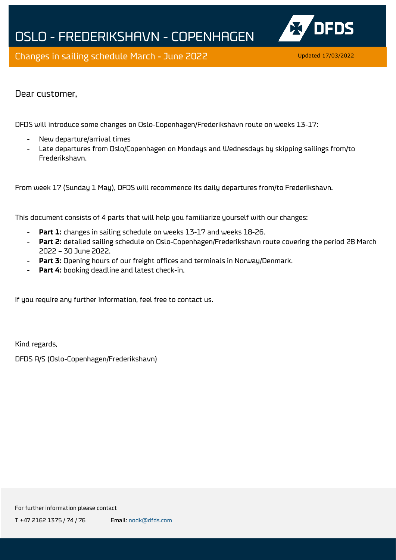



Dear customer,

DFDS will introduce some changes on Oslo-Copenhagen/Frederikshavn route on weeks 13-17:

- New departure/arrival times
- Late departures from Oslo/Copenhagen on Mondays and Wednesdays by skipping sailings from/to Frederikshavn.

From week 17 (Sunday 1 May), DFDS will recommence its daily departures from/to Frederikshavn.

This document consists of 4 parts that will help you familiarize yourself with our changes:

- **Part 1:** changes in sailing schedule on weeks 13-17 and weeks 18-26.
- **Part 2:** detailed sailing schedule on Oslo-Copenhagen/Frederikshavn route covering the period 28 March 2022 – 30 June 2022.
- **Part 3:** Opening hours of our freight offices and terminals in Norway/Denmark.
- Part 4: booking deadline and latest check-in.

If you require any further information, feel free to contact us.

Kind regards,

DFDS A/S (Oslo-Copenhagen/Frederikshavn)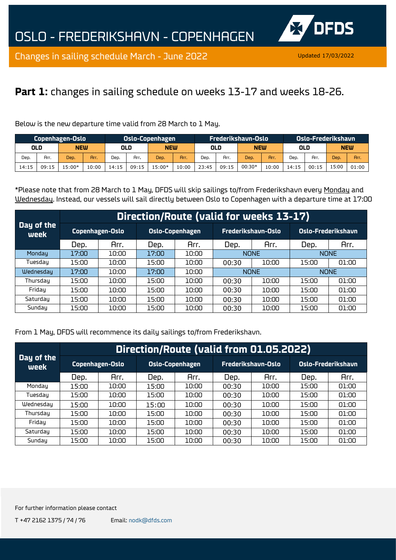

## **Part 1:** changes in sailing schedule on weeks 13-17 and weeks 18-26.

Below is the new departure time valid from 28 March to 1 May.

| Copenhagen-Oslo |                   |          | <b>Oslo-Copenhagen</b> |       |                   |        | Frederikshavn-Oslo |       |       |            | LOslo-Frederikshavn <sup>1</sup> |       |       |            |       |
|-----------------|-------------------|----------|------------------------|-------|-------------------|--------|--------------------|-------|-------|------------|----------------------------------|-------|-------|------------|-------|
|                 | OLD<br><b>NEW</b> |          |                        |       | <b>NEW</b><br>OLD |        |                    | OLD   |       | <b>NEW</b> |                                  | OLD   |       | <b>NEW</b> |       |
| Dep.            | Arr.              | Dep.     | Arr.                   | Dep.  | Arr.              | Dep.   | Arr.               | Dep.  | Arr.  | Dep.       | Arr.                             | Dep.  | Arr.  | Dep.       | Arr.  |
| 14:15           | 09:15             | $.5:00*$ | 10:00                  | 14:15 | 09:15             | 15:00* | 10:00              | 23:45 | 09:15 | $00:30*$   | 10:00                            | 14:15 | 00:15 | 15:00      | 01:00 |

\*Please note that from 28 March to 1 May, DFDS will skip sailings to/from Frederikshavn every Monday and Wednesday. Instead, our vessels will sail directly between Oslo to Copenhagen with a departure time at 17:00

|                    |       | Direction/Route (valid for weeks 13-17) |       |                        |       |                    |                           |             |  |  |  |  |  |  |  |
|--------------------|-------|-----------------------------------------|-------|------------------------|-------|--------------------|---------------------------|-------------|--|--|--|--|--|--|--|
| Day of the<br>week |       | Copenhagen-Oslo                         |       | <b>Oslo-Copenhagen</b> |       | Frederikshavn-Oslo | <b>Oslo-Frederikshavn</b> |             |  |  |  |  |  |  |  |
|                    | Dep.  | Arr.                                    | Dep.  | Arr.                   | Dep.  | Arr.               | Dep.                      | Arr.        |  |  |  |  |  |  |  |
| Monday             | 17:00 | 10:00                                   | 17:00 | 10:00                  |       | <b>NONE</b>        |                           | <b>NONE</b> |  |  |  |  |  |  |  |
| Tuesdau            | 15:00 | 10:00                                   | 15:00 | 10:00                  | 00:30 | 10:00              | 15:00                     | 01:00       |  |  |  |  |  |  |  |
| Wednesday          | 17:00 | 10:00                                   | 17:00 | 10:00                  |       | <b>NONE</b>        |                           | <b>NONE</b> |  |  |  |  |  |  |  |
| Thursday           | 15:00 | 10:00                                   | 15:00 | 10:00                  | 00:30 | 10:00              | 15:00                     | 01:00       |  |  |  |  |  |  |  |
| Friday             | 15:00 | 10:00                                   | 15:00 | 10:00                  | 00:30 | 10:00              | 15:00                     | 01:00       |  |  |  |  |  |  |  |
| Saturday           | 15:00 | 10:00                                   | 15:00 | 10:00                  | 00:30 | 10:00              | 15:00                     | 01:00       |  |  |  |  |  |  |  |
| Sunday             | 15:00 | 10:00                                   | 15:00 | 10:00                  | 00:30 | 10:00              | 15:00                     | 01:00       |  |  |  |  |  |  |  |

From 1 May, DFDS will recommence its daily sailings to/from Frederikshavn.

|                    |       | Direction/Route (valid from 01.05.2022) |       |                 |       |                    |                     |       |  |  |  |  |  |  |  |
|--------------------|-------|-----------------------------------------|-------|-----------------|-------|--------------------|---------------------|-------|--|--|--|--|--|--|--|
| Day of the<br>week |       | Copenhagen-Oslo                         |       | Oslo-Copenhagen |       | Frederikshavn-Oslo | Oslo-Frederikshavn, |       |  |  |  |  |  |  |  |
|                    | Dep.  | Arr.                                    | Dep.  | Arr.            | Dep.  | Arr.               | Dep.                | Arr.  |  |  |  |  |  |  |  |
| Mondau             | 15:00 | 10:00                                   | 15:00 | 10:00           | 00:30 | 10:00              | 15:00               | 01:00 |  |  |  |  |  |  |  |
| Tuesdau            | 15:00 | 10:00                                   | 15:00 | 10:00           | 00:30 | 10:00              | 15:00               | 01:00 |  |  |  |  |  |  |  |
| Wednesday          | 15:00 | מח:מב                                   | 15:00 | 10:00           | 00:30 | 10:00              | 15:00               | 01:00 |  |  |  |  |  |  |  |
| Thursday           | 15:00 | 10:00                                   | 15:00 | 10:00           | 00:30 | 10:00              | 15:00               | 01:00 |  |  |  |  |  |  |  |
| Friday             | 15:00 | מח:מ1                                   | 15:00 | 10:00           | 00:30 | 10:00              | 15:00               | 01:00 |  |  |  |  |  |  |  |
| Saturday           | 15:00 | 10:00                                   | 15:00 | 10:00           | 00:30 | 10:00              | 15:00               | 01:00 |  |  |  |  |  |  |  |
| Sunday             | 15:00 | 10:00                                   | 15:00 | 10:00           | 00:30 | 10:00              | 15:00               | 01:00 |  |  |  |  |  |  |  |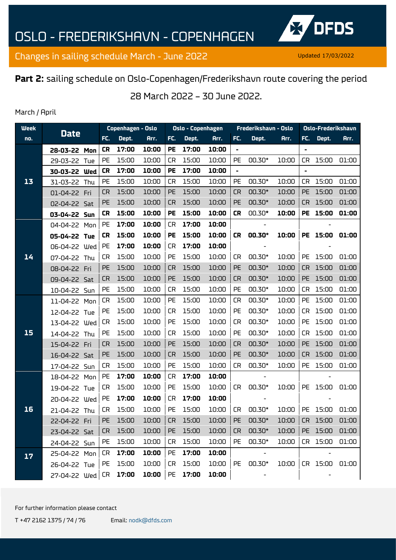

## **Part 2:** sailing schedule on Oslo-Copenhagen/Frederikshavn route covering the period

28 March 2022 – 30 June 2022.

#### March / April

| <b>Week</b> | <b>Date</b>       |  | Copenhagen - Oslo |       |       | Oslo - Copenhagen |       |       | Frederikshavn - Oslo |        | Oslo-Frederikshavn |                |          |                      |
|-------------|-------------------|--|-------------------|-------|-------|-------------------|-------|-------|----------------------|--------|--------------------|----------------|----------|----------------------|
| no.         |                   |  | FC.               | Dept. | Arr.  | FC.               | Dept. | Arr.  | FC.                  | Dept.  | Arr.               | FC.            | Dept.    | Arr.                 |
|             | 28-03-22 Mon      |  | <b>CR</b>         | 17:00 | 10:00 | <b>PE</b>         | 17:00 | 10:00 | ä,                   |        |                    | $\blacksquare$ |          |                      |
| 13          | 29-03-22 Tue      |  | PE                | 15:00 | 10:00 | <b>CR</b>         | 15:00 | 10:00 | PE                   | 00.30* | 10:00              | <b>CR</b>      | 15:00    | 01:00                |
|             | 30-03-22 Wed      |  | <b>CR</b>         | 17:00 | 10:00 | PE                | 17:00 | 10:00 | $\blacksquare$       |        |                    |                |          |                      |
|             | 31-03-22 Thu      |  | PE                | 15:00 | 10:00 | <b>CR</b>         | 15:00 | 10:00 | PE                   | 00.30* | 10:00              | <b>CR</b>      | 15:00    | 01:00                |
|             | 01-04-22 Fri      |  | CR                | 15:00 | 10:00 | PE                | 15:00 | 10:00 | <b>CR</b>            | 00.30* | 10:00              | <b>PE</b>      | 15:00    | 01:00                |
|             | 02-04-22 Sat      |  | PE                | 15:00 | 10:00 | <b>CR</b>         | 15:00 | 10:00 | PE                   | 00.30* | 10:00              | <b>CR</b>      | 15:00    | 01:00                |
|             | 03-04-22 Sun      |  | <b>CR</b>         | 15:00 | 10:00 | <b>PE</b>         | 15:00 | 10:00 | <b>CR</b>            | 00.30* | 10:00              | <b>PE</b>      | 15:00    | 01:00                |
|             | 04-04-22 Mon      |  | PE                | 17:00 | 10:00 | <b>CR</b>         | 17:00 | 10:00 |                      |        |                    |                |          |                      |
|             | 05-04-22 Tue      |  | <b>CR</b>         | 15:00 | 10:00 | <b>PE</b>         | 15:00 | 10:00 | <b>CR</b>            | 00.30* | 10:00              |                | PE 15:00 | 01:00                |
|             | 06-04-22 Wed      |  | PE                | 17:00 | 10:00 | <b>CR</b>         | 17:00 | 10:00 |                      |        |                    |                |          |                      |
| 14          | 07-04-22 Thu      |  | <b>CR</b>         | 15:00 | 10:00 | PE                | 15:00 | 10:00 | <b>CR</b>            | 00.30* | 10:00              | PE             | 15:00    | 01:00                |
|             | 08-04-22 Fri      |  | PE                | 15:00 | 10:00 | <b>CR</b>         | 15:00 | 10:00 | PE                   | 00.30* | 10:00              | <b>CR</b>      | 15:00    | 01:00                |
|             | 09-04-22 Sat      |  | <b>CR</b>         | 15:00 | 10:00 | PE                | 15:00 | 10:00 | <b>CR</b>            | 00.30* | 10:00              | <b>PE</b>      | 15:00    | 01:00                |
|             | 10-04-22 Sun      |  | PE                | 15:00 | 10:00 | CR                | 15:00 | 10:00 | PE                   | 00.30* | 10:00              | <b>CR</b>      | 15:00    | 01:00                |
|             | 11-04-22 Mon      |  | <b>CR</b>         | 15:00 | 10:00 | PE                | 15:00 | 10:00 | <b>CR</b>            | 00.30* | 10:00              | PE             | 15:00    | 01:00                |
|             | 12-04-22 Tue      |  | PE                | 15:00 | 10:00 | <b>CR</b>         | 15:00 | 10:00 | PE                   | 00.30* | 10:00              | <b>CR</b>      | 15:00    | 01:00                |
|             | 13-04-22 Wed      |  | <b>CR</b>         | 15:00 | 10:00 | PE                | 15:00 | 10:00 | <b>CR</b>            | 00.30* | 10:00              | PE             | 15:00    | 01:00                |
| 15          | 14-04-22 Thu      |  | PE                | 15:00 | 10:00 | <b>CR</b>         | 15:00 | 10:00 | PE                   | 00.30* | 10:00              | <b>CR</b>      | 15:00    | 01:00                |
|             | 15-04-22 Fri      |  | <b>CR</b>         | 15:00 | 10:00 | PE                | 15:00 | 10:00 | <b>CR</b>            | 00.30* | 10:00              | <b>PE</b>      | 15:00    | 01:00                |
|             | 16-04-22 Sat      |  | PE                | 15:00 | 10:00 | <b>CR</b>         | 15:00 | 10:00 | PE                   | 00.30* | 10:00              | <b>CR</b>      | 15:00    | 01:00                |
|             | 17-04-22 Sun      |  | <b>CR</b>         | 15:00 | 10:00 | PE                | 15:00 | 10:00 | <b>CR</b>            | 00.30* | 10:00              | PE             | 15:00    | 01:00                |
|             | 18-04-22 Mon      |  | PE                | 17:00 | 10:00 | <b>CR</b>         | 17:00 | 10:00 |                      |        |                    |                |          |                      |
|             | 19-04-22 Tue      |  | CR                | 15:00 | 10:00 | PE                | 15:00 | 10:00 | <b>CR</b>            | 00.30* | 10:00              | PE             | 15:00    | 01:00                |
|             | 20-04-22 Wed      |  | PE                | 17:00 | 10:00 | <b>CR</b>         | 17:00 | 10:00 |                      |        |                    |                |          |                      |
| 16          | 21-04-22 Thu      |  | <b>CR</b>         | 15:00 | 10:00 | PE                | 15:00 | 10:00 | <b>CR</b>            | 00.30* | 10:00              | PE             | 15:00    | 01:00                |
|             | 22-04-22 Fri      |  | PE                | 15:00 | 10:00 | <b>CR</b>         | 15:00 | 10:00 | PE                   | 00.30* |                    |                |          | 10:00 CR 15:00 01:00 |
|             | 23-04-22 Sat      |  | CR.               | 15:00 | 10:00 | <b>PE</b>         | 15:00 | 10:00 | CR                   | 00.30* | 10:00              |                | PE 15:00 | 01:00                |
|             | 24-04-22 Sun      |  | PE                | 15:00 | 10:00 | CR                | 15:00 | 10:00 | PE                   | 00.30* | 10:00              |                | CR 15:00 | 01:00                |
| 17          | 25-04-22 Mon      |  | CR                | 17:00 | 10:00 | PE                | 17:00 | 10:00 |                      |        |                    |                |          |                      |
|             | 26-04-22 Tue      |  | PE                | 15:00 | 10:00 | CR                | 15:00 | 10:00 | PE                   | 00.30* | 10:00              |                | CR 15:00 | 01:00                |
|             | 27-04-22 Wed   CR |  |                   | 17:00 | 10:00 | PE                | 17:00 | 10:00 |                      |        |                    |                |          |                      |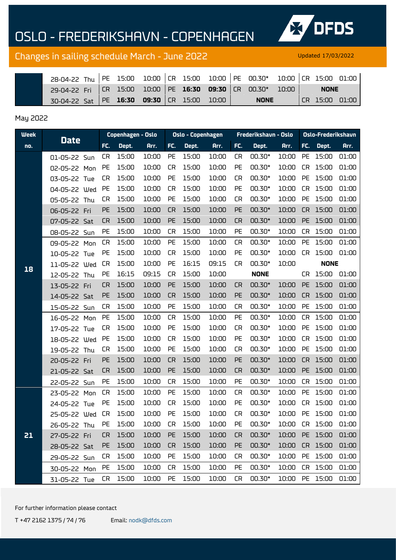# OSLO - FREDERIKSHAVN - COPENHAGEN



## Changes in sailing schedule March - June 2022 Updated 17/03/2022

| 28-04-22 Thu PE 15:00 10:00 CR 15:00 10:00 PE 00.30* 10:00 CR 15:00 01:00 |  |  |  |             |  |                 |  |
|---------------------------------------------------------------------------|--|--|--|-------------|--|-----------------|--|
| 29-04-22 Fri CR 15:00 10:00 PE 16:30 09:30 CR 00.30* 10:00                |  |  |  |             |  | <b>NONE</b>     |  |
| 30-04-22 Sat PE 16:30 09:30 CR 15:00 10:00                                |  |  |  | <b>NONE</b> |  | ICR 15:00 01:00 |  |

#### May 2022

| <b>Week</b> |              |           |          | Copenhagen - Oslo |           | Oslo - Copenhagen |       |           | Frederikshavn - Oslo |       | <b>Oslo-Frederikshavn</b> |             |       |
|-------------|--------------|-----------|----------|-------------------|-----------|-------------------|-------|-----------|----------------------|-------|---------------------------|-------------|-------|
| no.         | <b>Date</b>  | FC.       | Dept.    | Arr.              | FC.       | Dept.             | Arr.  | FC.       | Dept.                | Arr.  | FC.                       | Dept.       | Arr.  |
|             | 01-05-22 Sun | <b>CR</b> | 15:00    | 10:00             | PE        | 15:00             | 10:00 | CR        | 00.30*               | 10:00 | <b>PE</b>                 | 15:00       | 01:00 |
|             | 02-05-22 Mon | <b>PE</b> | 15:00    | 10:00             | <b>CR</b> | 15:00             | 10:00 | PE        | 00.30*               | 10:00 | <b>CR</b>                 | 15:00       | 01:00 |
|             | 03-05-22 Tue | <b>CR</b> | 15:00    | 10:00             | PE        | 15:00             | 10:00 | <b>CR</b> | 00.30*               | 10:00 | PE                        | 15:00       | 01:00 |
|             | 04-05-22 Wed | PE        | 15:00    | 10:00             | <b>CR</b> | 15:00             | 10:00 | PE        | 00.30*               | 10:00 | CR                        | 15:00       | 01:00 |
|             | 05-05-22 Thu | <b>CR</b> | 15:00    | 10:00             | PE        | 15:00             | 10:00 | <b>CR</b> | 00.30*               | 10:00 | PE                        | 15:00       | 01:00 |
|             | 06-05-22 Fri | PE        | 15:00    | 10:00             | <b>CR</b> | 15:00             | 10:00 | PE        | 00.30*               | 10:00 | <b>CR</b>                 | 15:00       | 01:00 |
|             | 07-05-22 Sat | <b>CR</b> | 15:00    | 10:00             | PE        | 15:00             | 10:00 | <b>CR</b> | 00.30*               | 10:00 | PE                        | 15:00       | 01:00 |
|             | 08-05-22 Sun | PE        | 15:00    | 10:00             | <b>CR</b> | 15:00             | 10:00 | PE        | 00.30*               | 10:00 | <b>CR</b>                 | 15:00       | 01:00 |
|             | 09-05-22 Mon | <b>CR</b> | 15:00    | 10:00             | PE        | 15:00             | 10:00 | <b>CR</b> | 00.30*               | 10:00 | PE                        | 15:00       | 01:00 |
|             | 10-05-22 Tue | PE        | 15:00    | 10:00             | <b>CR</b> | 15:00             | 10:00 | PE        | 00.30*               | 10:00 | <b>CR</b>                 | 15:00       | 01:00 |
| 18          | 11-05-22 Wed | <b>CR</b> | 15:00    | 10:00             | PE        | 16:15             | 09:15 | <b>CR</b> | 00.30*               | 10:00 |                           | <b>NONE</b> |       |
|             | 12-05-22 Thu | <b>PE</b> | 16:15    | 09:15             | <b>CR</b> | 15:00             | 10:00 |           | <b>NONE</b>          |       | CR.                       | 15:00       | 01:00 |
|             | 13-05-22 Fri | <b>CR</b> | 15:00    | 10:00             | PE        | 15:00             | 10:00 | <b>CR</b> | 00.30*               | 10:00 | <b>PE</b>                 | 15:00       | 01:00 |
|             | 14-05-22 Sat | PE        | 15:00    | 10:00             | <b>CR</b> | 15:00             | 10:00 | PE        | 00.30*               | 10:00 | <b>CR</b>                 | 15:00       | 01:00 |
|             | 15-05-22 Sun | <b>CR</b> | 15:00    | 10:00             | PE        | 15:00             | 10:00 | <b>CR</b> | 00.30*               | 10:00 | PE                        | 15:00       | 01:00 |
|             | 16-05-22 Mon | PE        | 15:00    | 10:00             | <b>CR</b> | 15:00             | 10:00 | PE        | 00.30*               | 10:00 | CR                        | 15:00       | 01:00 |
|             | 17-05-22 Tue | <b>CR</b> | 15:00    | 10:00             | PE        | 15:00             | 10:00 | <b>CR</b> | 00.30*               | 10:00 | PE                        | 15:00       | 01:00 |
|             | 18-05-22 Wed | <b>PE</b> | 15:00    | 10:00             | <b>CR</b> | 15:00             | 10:00 | PE        | 00.30*               | 10:00 | <b>CR</b>                 | 15:00       | 01:00 |
|             | 19-05-22 Thu | <b>CR</b> | 15:00    | 10:00             | PE        | 15:00             | 10:00 | <b>CR</b> | 00.30*               | 10:00 | PE                        | 15:00       | 01:00 |
|             | 20-05-22 Fri | PE        | 15:00    | 10:00             | <b>CR</b> | 15:00             | 10:00 | PE        | 00.30*               | 10:00 | <b>CR</b>                 | 15:00       | 01:00 |
|             | 21-05-22 Sat | <b>CR</b> | 15:00    | 10:00             | PE        | 15:00             | 10:00 | <b>CR</b> | 00.30*               | 10:00 | PE                        | 15:00       | 01:00 |
|             | 22-05-22 Sun | PE        | 15:00    | 10:00             | <b>CR</b> | 15:00             | 10:00 | PE        | 00.30*               | 10:00 | CR                        | 15:00       | 01:00 |
|             | 23-05-22 Mon | <b>CR</b> | 15:00    | 10:00             | PE        | 15:00             | 10:00 | <b>CR</b> | 00.30*               | 10:00 | PE                        | 15:00       | 01:00 |
|             | 24-05-22 Tue | PE        | 15:00    | 10:00             | <b>CR</b> | 15:00             | 10:00 | PE        | 00.30*               | 10:00 | CR                        | 15:00       | 01:00 |
|             | 25-05-22 Wed | <b>CR</b> | 15:00    | 10:00             | PE        | 15:00             | 10:00 | <b>CR</b> | 00.30*               | 10:00 | PE                        | 15:00       | 01:00 |
|             | 26-05-22 Thu | PE        | 15:00    | 10:00             | <b>CR</b> | 15:00             | 10:00 | <b>PE</b> | 00.30*               | 10:00 |                           | CR 15:00    | 01:00 |
| 21          | 27-05-22 Fri | CR        | 15:00    | 10:00             | <b>PE</b> | 15:00             | 10:00 | <b>CR</b> | $00.30*$             | 10:00 |                           | PE 15:00    | 01:00 |
|             | 28-05-22 Sat | <b>PE</b> | 15:00    | 10:00             | <b>CR</b> | 15:00             | 10:00 | <b>PE</b> | 00.30*               | 10:00 |                           | CR 15:00    | 01:00 |
|             | 29-05-22 Sun | CR.       | 15:00    | 10:00             | PE        | 15:00             | 10:00 | CR        | 00.30*               | 10:00 | PE                        | 15:00       | 01:00 |
|             | 30-05-22 Mon | <b>PE</b> | 15:00    | 10:00             | CR.       | 15:00             | 10:00 | <b>PE</b> | 00.30*               | 10:00 |                           | CR 15:00    | 01:00 |
|             | 31-05-22 Tue |           | CR 15:00 | 10:00             | PE        | 15:00             | 10:00 | <b>CR</b> | 00.30*               | 10:00 |                           | PE 15:00    | 01:00 |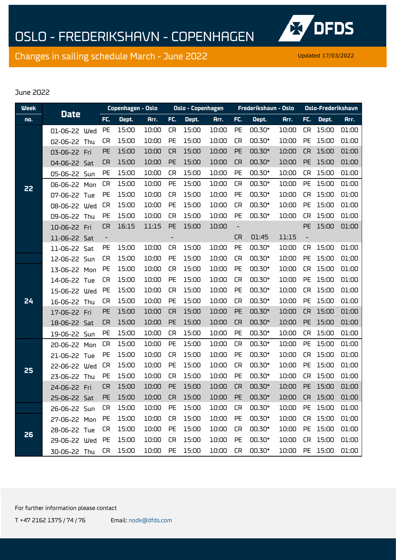

#### June 2022

| <b>Week</b> |              |                          | Copenhagen - Oslo |       |                          | <b>Oslo - Copenhagen</b> |       |                          | Frederikshavn - Oslo |       | <b>Oslo-Frederikshavn</b> |          |       |
|-------------|--------------|--------------------------|-------------------|-------|--------------------------|--------------------------|-------|--------------------------|----------------------|-------|---------------------------|----------|-------|
| no.         | <b>Date</b>  | FC.                      | Dept.             | Arr.  | FC.                      | Dept.                    | Arr.  | FC.                      | Dept.                | Arr.  | FC.                       | Dept.    | Arr.  |
|             | 01-06-22 Wed | PE                       | 15:00             | 10:00 | <b>CR</b>                | 15:00                    | 10:00 | PE                       | 00.30*               | 10:00 | <b>CR</b>                 | 15:00    | 01:00 |
|             | 02-06-22 Thu | <b>CR</b>                | 15:00             | 10:00 | PE                       | 15:00                    | 10:00 | <b>CR</b>                | 00.30*               | 10:00 | PE                        | 15:00    | 01:00 |
|             | 03-06-22 Fri | PE                       | 15:00             | 10:00 | <b>CR</b>                | 15:00                    | 10:00 | PE                       | 00.30*               | 10:00 | <b>CR</b>                 | 15:00    | 01:00 |
|             | 04-06-22 Sat | <b>CR</b>                | 15:00             | 10:00 | PE                       | 15:00                    | 10:00 | <b>CR</b>                | 00.30*               | 10:00 | PE                        | 15:00    | 01:00 |
|             | 05-06-22 Sun | PE                       | 15:00             | 10:00 | <b>CR</b>                | 15:00                    | 10:00 | PE                       | 00.30*               | 10:00 | <b>CR</b>                 | 15:00    | 01:00 |
| 22          | 06-06-22 Mon | <b>CR</b>                | 15:00             | 10:00 | PE                       | 15:00                    | 10:00 | <b>CR</b>                | 00.30*               | 10:00 | PE                        | 15:00    | 01:00 |
|             | 07-06-22 Tue | PE                       | 15:00             | 10:00 | <b>CR</b>                | 15:00                    | 10:00 | PE                       | 00.30*               | 10:00 | <b>CR</b>                 | 15:00    | 01:00 |
|             | 08-06-22 Wed | <b>CR</b>                | 15:00             | 10:00 | PE                       | 15:00                    | 10:00 | <b>CR</b>                | 00.30*               | 10:00 | PE                        | 15:00    | 01:00 |
|             | 09-06-22 Thu | PE                       | 15:00             | 10:00 | <b>CR</b>                | 15:00                    | 10:00 | PE                       | 00.30*               | 10:00 | <b>CR</b>                 | 15:00    | 01:00 |
|             | 10-06-22 Fri | <b>CR</b>                | 16:15             | 11:15 | PE                       | 15:00                    | 10:00 | $\overline{\phantom{a}}$ |                      |       | <b>PE</b>                 | 15:00    | 01:00 |
|             | 11-06-22 Sat | $\overline{\phantom{a}}$ |                   |       | $\overline{\phantom{0}}$ |                          |       | <b>CR</b>                | 01:45                | 11:15 | $\overline{\phantom{a}}$  |          |       |
|             | 11-06-22 Sat | PE                       | 15:00             | 10:00 | <b>CR</b>                | 15:00                    | 10:00 | PE                       | 00.30*               | 10:00 | CR.                       | 15:00    | 01:00 |
|             | 12-06-22 Sun | <b>CR</b>                | 15:00             | 10:00 | PE                       | 15:00                    | 10:00 | <b>CR</b>                | 00.30*               | 10:00 | PE                        | 15:00    | 01:00 |
|             | 13-06-22 Mon | PE                       | 15:00             | 10:00 | <b>CR</b>                | 15:00                    | 10:00 | PE                       | 00.30*               | 10:00 | <b>CR</b>                 | 15:00    | 01:00 |
|             | 14-06-22 Tue | CR                       | 15:00             | 10:00 | PE                       | 15:00                    | 10:00 | <b>CR</b>                | 00.30*               | 10:00 | PE                        | 15:00    | 01:00 |
|             | 15-06-22 Wed | PE                       | 15:00             | 10:00 | <b>CR</b>                | 15:00                    | 10:00 | PE                       | 00.30*               | 10:00 | <b>CR</b>                 | 15:00    | 01:00 |
| 24          | 16-06-22 Thu | <b>CR</b>                | 15:00             | 10:00 | PE                       | 15:00                    | 10:00 | <b>CR</b>                | 00.30*               | 10:00 | PE                        | 15:00    | 01:00 |
|             | 17-06-22 Fri | PE                       | 15:00             | 10:00 | <b>CR</b>                | 15:00                    | 10:00 | PE                       | 00.30*               | 10:00 | <b>CR</b>                 | 15:00    | 01:00 |
|             | 18-06-22 Sat | <b>CR</b>                | 15:00             | 10:00 | PE                       | 15:00                    | 10:00 | <b>CR</b>                | 00.30*               | 10:00 | PE                        | 15:00    | 01:00 |
|             | 19-06-22 Sun | PE                       | 15:00             | 10:00 | <b>CR</b>                | 15:00                    | 10:00 | PE                       | 00.30*               | 10:00 | <b>CR</b>                 | 15:00    | 01:00 |
|             | 20-06-22 Mon | <b>CR</b>                | 15:00             | 10:00 | PE                       | 15:00                    | 10:00 | <b>CR</b>                | 00.30*               | 10:00 | PE                        | 15:00    | 01:00 |
|             | 21-06-22 Tue | PE                       | 15:00             | 10:00 | <b>CR</b>                | 15:00                    | 10:00 | PE                       | 00.30*               | 10:00 | <b>CR</b>                 | 15:00    | 01:00 |
| 25          | 22-06-22 Wed | <b>CR</b>                | 15:00             | 10:00 | PE                       | 15:00                    | 10:00 | <b>CR</b>                | 00.30*               | 10:00 | PE                        | 15:00    | 01:00 |
|             | 23-06-22 Thu | <b>PE</b>                | 15:00             | 10:00 | <b>CR</b>                | 15:00                    | 10:00 | PE                       | 00.30*               | 10:00 | <b>CR</b>                 | 15:00    | 01:00 |
|             | 24-06-22 Fri | <b>CR</b>                | 15:00             | 10:00 | PE                       | 15:00                    | 10:00 | <b>CR</b>                | 00.30*               | 10:00 | <b>PE</b>                 | 15:00    | 01:00 |
|             | 25-06-22 Sat | PE                       | 15:00             | 10:00 | <b>CR</b>                | 15:00                    | 10:00 | <b>PE</b>                | 00.30*               | 10:00 | <b>CR</b>                 | 15:00    | 01:00 |
|             | 26-06-22 Sun | CR.                      | 15:00             | 10:00 | <b>PE</b>                | 15:00                    | 10:00 | <b>CR</b>                | 00.30*               | 10:00 | PE                        | 15:00    | 01:00 |
|             | 27-06-22 Mon | <b>PE</b>                | 15:00             | 10:00 | <b>CR</b>                | 15:00                    | 10:00 | <b>PE</b>                | 00.30*               | 10:00 | CR                        | 15:00    | 01:00 |
|             | 28-06-22 Tue | CR                       | 15:00             | 10:00 | PE                       | 15:00                    | 10:00 | <b>CR</b>                | 00.30*               | 10:00 | <b>PE</b>                 | 15:00    | 01:00 |
| 26          | 29-06-22 Wed | <b>PE</b>                | 15:00             | 10:00 | <b>CR</b>                | 15:00                    | 10:00 | <b>PE</b>                | 00.30*               | 10:00 |                           | CR 15:00 | 01:00 |
|             | 30-06-22 Thu | CR                       | 15:00             | 10:00 | PE                       | 15:00                    | 10:00 | <b>CR</b>                | 00.30*               | 10:00 |                           | PE 15:00 | 01:00 |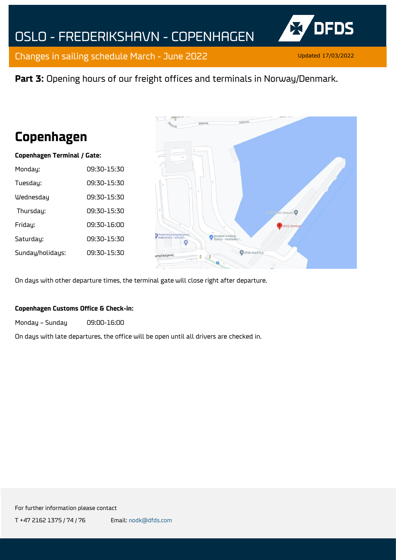

### **Part 3:** Opening hours of our freight offices and terminals in Norway/Denmark.

# **Copenhagen**

#### **Copenhagen Terminal / Gate:**

| Monday:          | 09:30-15:30 |
|------------------|-------------|
| Tuesday:         | 09:30-15:30 |
| Wednesday        | N9:30-15:30 |
| Thursday:        | 09:30-15:30 |
| Friday:          | 09:30-16:00 |
| Saturday:        | 09:30-15:30 |
| Sunday/holidays: | 09:30-15:30 |
|                  |             |



On days with other departure times, the terminal gate will close right after departure.

#### **Copenhagen Customs Office & Check-in:**

Monday – Sunday 09:00-16:00

On days with late departures, the office will be open until all drivers are checked in.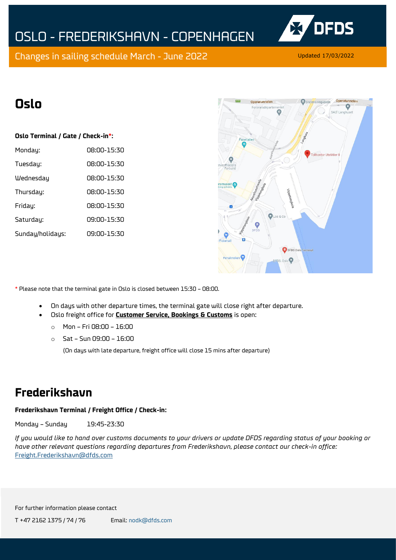

# **Oslo**

#### **Oslo Terminal / Gate / Check-in\*:**

| Monday:          | 08:00-15:30 |
|------------------|-------------|
| Tuesday:         | n8:00-15:30 |
| Wednesday        | 08:00-15:30 |
| Thursday:        | 08:00-15:30 |
| Friday:          | 08:00-15:30 |
| Saturday:        | 09:00-15:30 |
| Sunday/holidays: | 09:00-15:30 |



\* Please note that the terminal gate in Oslo is closed between 15:30 – 08:00.

- On days with other departure times, the terminal gate will close right after departure.
- Oslo freight office for **Customer Service, Bookings & Customs** is open:
	- o Mon Fri 08:00 16:00
	- o Sat Sun 09:00 16:00

(On days with late departure, freight office will close 15 mins after departure)

## **Frederikshavn**

### **Frederikshavn Terminal / Freight Office / Check-in:**

Monday – Sunday 19:45-23:30

*If you would like to hand over customs documents to your drivers or update DFDS regarding status of your booking or have other relevant questions regarding departures from Frederikshavn, please contact our check-in office:*  [Freight.Frederikshavn@dfds.com](mailto:Freight.Frederikshavn@dfds.com)